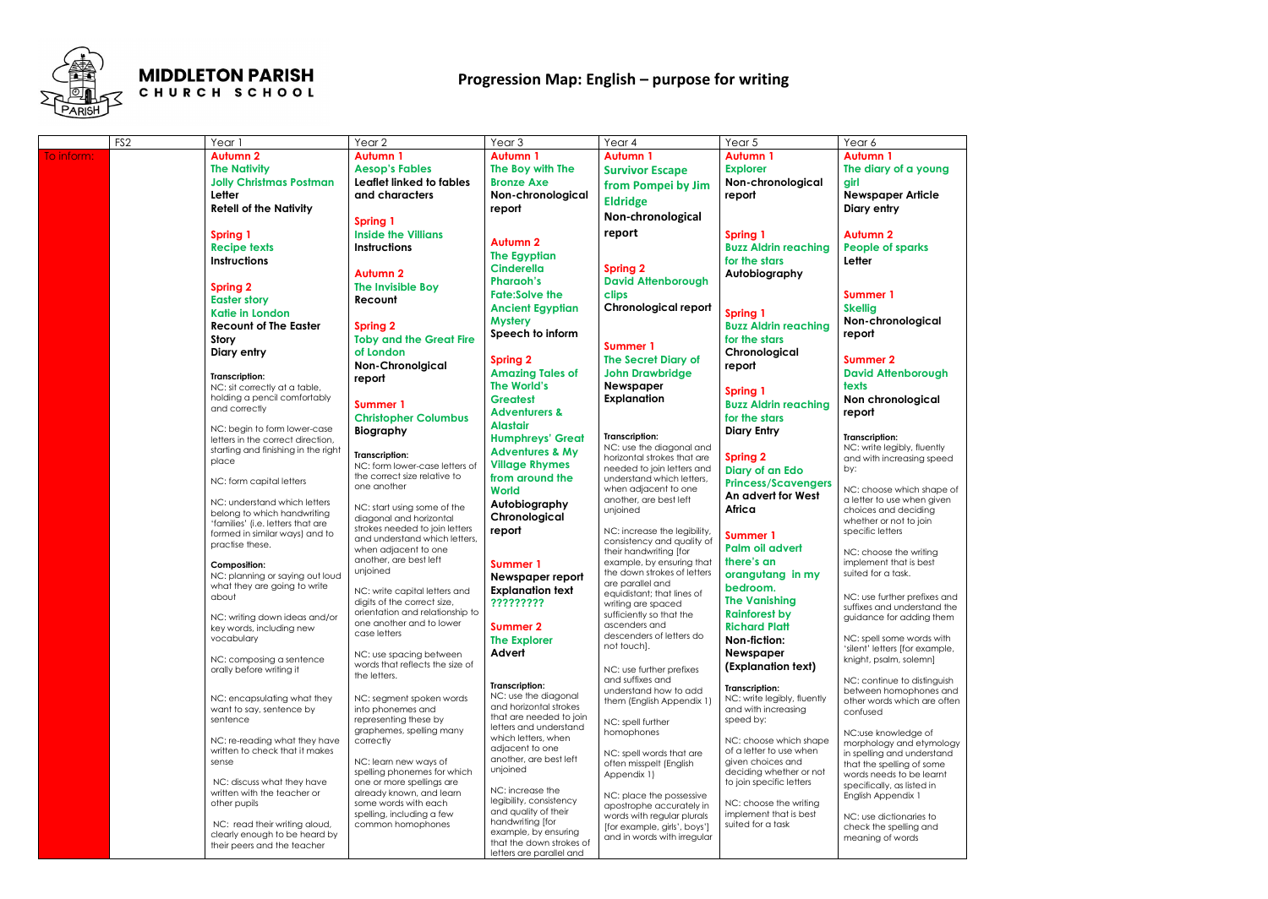

## **MIDDLETON PARISH** CHURCH SCHOOL

|            | FS <sub>2</sub> | Year 1                                                              | Year <sub>2</sub>               | Year <sub>3</sub>                                 | Year 4                                              | Year 5                                            | Year 6                                                  |
|------------|-----------------|---------------------------------------------------------------------|---------------------------------|---------------------------------------------------|-----------------------------------------------------|---------------------------------------------------|---------------------------------------------------------|
| To inform: |                 | <b>Autumn 2</b>                                                     | <b>Autumn 1</b>                 | <b>Autumn 1</b>                                   | <b>Autumn 1</b>                                     | <b>Autumn 1</b>                                   | <b>Autumn 1</b>                                         |
|            |                 | <b>The Nativity</b>                                                 | <b>Aesop's Fables</b>           | The Boy with The                                  | <b>Survivor Escape</b>                              | <b>Explorer</b>                                   | The diary of a young                                    |
|            |                 | <b>Jolly Christmas Postman</b>                                      | Leaflet linked to fables        | <b>Bronze Axe</b>                                 |                                                     | Non-chronological                                 | girl                                                    |
|            |                 | Letter                                                              | and characters                  | Non-chronological                                 | from Pompei by Jim                                  | report                                            | <b>Newspaper Article</b>                                |
|            |                 | <b>Retell of the Nativity</b>                                       |                                 |                                                   | <b>Eldridge</b>                                     |                                                   |                                                         |
|            |                 |                                                                     |                                 | report                                            | Non-chronological                                   |                                                   | Diary entry                                             |
|            |                 |                                                                     | <b>Spring 1</b>                 |                                                   |                                                     |                                                   |                                                         |
|            |                 | <b>Spring 1</b>                                                     | <b>Inside the Villians</b>      | <b>Autumn 2</b>                                   | report                                              | <b>Spring 1</b>                                   | <b>Autumn 2</b>                                         |
|            |                 | <b>Recipe texts</b>                                                 | <b>Instructions</b>             | <b>The Egyptian</b>                               |                                                     | <b>Buzz Aldrin reaching</b>                       | <b>People of sparks</b>                                 |
|            |                 | <b>Instructions</b>                                                 |                                 | <b>Cinderella</b>                                 | <b>Spring 2</b>                                     | for the stars                                     | Letter                                                  |
|            |                 |                                                                     | <b>Autumn 2</b>                 |                                                   |                                                     | Autobiography                                     |                                                         |
|            |                 | <b>Spring 2</b>                                                     | The Invisible Boy               | <b>Pharaoh's</b>                                  | <b>David Attenborough</b>                           |                                                   |                                                         |
|            |                 | <b>Easter story</b>                                                 | Recount                         | <b>Fate:Solve the</b>                             | clips                                               |                                                   | Summer 1                                                |
|            |                 | <b>Katie in London</b>                                              |                                 | <b>Ancient Egyptian</b>                           | <b>Chronological report</b>                         | <b>Spring 1</b>                                   | <b>Skellig</b>                                          |
|            |                 | <b>Recount of The Easter</b>                                        | <b>Spring 2</b>                 | <b>Mystery</b>                                    |                                                     | <b>Buzz Aldrin reaching</b>                       | Non-chronological                                       |
|            |                 | <b>Story</b>                                                        | <b>Toby and the Great Fire</b>  | Speech to inform                                  |                                                     | for the stars                                     | report                                                  |
|            |                 | Diary entry                                                         | of London                       |                                                   | Summer 1                                            | Chronological                                     |                                                         |
|            |                 |                                                                     | <b>Non-Chronolgical</b>         | <b>Spring 2</b>                                   | <b>The Secret Diary of</b>                          |                                                   | <b>Summer 2</b>                                         |
|            |                 |                                                                     |                                 | <b>Amazing Tales of</b>                           | <b>John Drawbridge</b>                              | report                                            | <b>David Attenborough</b>                               |
|            |                 | Transcription:<br>NC: sit correctly at a table,                     | report                          | The World's                                       | <b>Newspaper</b>                                    |                                                   | texts                                                   |
|            |                 | holding a pencil comfortably                                        |                                 | <b>Greatest</b>                                   | <b>Explanation</b>                                  | <b>Spring 1</b>                                   | Non chronological                                       |
|            |                 | and correctly                                                       | <b>Summer 1</b>                 | <b>Adventurers &amp;</b>                          |                                                     | <b>Buzz Aldrin reaching</b>                       | report                                                  |
|            |                 |                                                                     | <b>Christopher Columbus</b>     |                                                   |                                                     | for the stars                                     |                                                         |
|            |                 | NC: begin to form lower-case                                        | Biography                       | <b>Alastair</b>                                   | Transcription:                                      | <b>Diary Entry</b>                                | <b>Transcription:</b>                                   |
|            |                 | letters in the correct direction,                                   |                                 | <b>Humphreys' Great</b>                           | NC: use the diagonal and                            |                                                   | NC: write legibly, fluently                             |
|            |                 | starting and finishing in the right<br>place                        | <b>Transcription:</b>           | <b>Adventures &amp; My</b>                        | horizontal strokes that are                         | <b>Spring 2</b>                                   | and with increasing speed                               |
|            |                 |                                                                     | NC: form lower-case letters of  | <b>Village Rhymes</b>                             | needed to join letters and                          | Diary of an Edo                                   | by:                                                     |
|            |                 | NC: form capital letters                                            | the correct size relative to    | from around the                                   | understand which letters,                           | <b>Princess/Scavengers</b>                        |                                                         |
|            |                 |                                                                     | one another                     | <b>World</b>                                      | when adjacent to one                                | An advert for West                                | NC: choose which shape of                               |
|            |                 | NC: understand which letters                                        | NC: start using some of the     | Autobiography                                     | another, are best left                              | Africa                                            | a letter to use when given                              |
|            |                 | belong to which handwriting                                         | diagonal and horizontal         | Chronological                                     | unjoined                                            |                                                   | choices and deciding<br>whether or not to join          |
|            |                 | 'families' (i.e. letters that are<br>formed in similar ways) and to | strokes needed to join letters  | report                                            | NC: increase the legibility,                        |                                                   | specific letters                                        |
|            |                 | practise these.                                                     | and understand which letters,   |                                                   | consistency and quality of                          | Summer 1                                          |                                                         |
|            |                 |                                                                     | when adjacent to one            |                                                   | their handwriting [for                              | Palm oil advert                                   | NC: choose the writing                                  |
|            |                 | <b>Composition:</b>                                                 | another, are best left          | <b>Summer 1</b>                                   | example, by ensuring that                           | there's an                                        | implement that is best                                  |
|            |                 | NC: planning or saying out loud                                     | unjoined                        | Newspaper report                                  | the down strokes of letters                         | orangutang in my                                  | suited for a task.                                      |
|            |                 | what they are going to write                                        | NC: write capital letters and   | <b>Explanation text</b>                           | are parallel and<br>equidistant; that lines of      | bedroom.                                          |                                                         |
|            |                 | about                                                               | digits of the correct size,     | ?????????                                         | writing are spaced                                  | <b>The Vanishing</b>                              | NC: use further prefixes and                            |
|            |                 | NC: writing down ideas and/or                                       | orientation and relationship to |                                                   | sufficiently so that the                            | <b>Rainforest by</b>                              | suffixes and understand the<br>guidance for adding them |
|            |                 | key words, including new                                            | one another and to lower        | <b>Summer 2</b>                                   | ascenders and                                       | <b>Richard Platt</b>                              |                                                         |
|            |                 | vocabulary                                                          | case letters                    | <b>The Explorer</b>                               | descenders of letters do                            | Non-fiction:                                      | NC: spell some words with                               |
|            |                 |                                                                     | NC: use spacing between         | Advert                                            | not touch].                                         | Newspaper                                         | 'silent' letters [for example,                          |
|            |                 | NC: composing a sentence                                            | words that reflects the size of |                                                   |                                                     | (Explanation text)                                | knight, psalm, solemn]                                  |
|            |                 | orally before writing it                                            | the letters.                    |                                                   | NC: use further prefixes                            |                                                   |                                                         |
|            |                 |                                                                     |                                 | Transcription:                                    | and suffixes and<br>understand how to add           | Transcription:                                    | NC: continue to distinguish<br>between homophones and   |
|            |                 | NC: encapsulating what they                                         | NC: segment spoken words        | NC: use the diagonal                              | them (English Appendix 1)                           | NC: write legibly, fluently                       | other words which are often                             |
|            |                 | want to say, sentence by                                            | into phonemes and               | and horizontal strokes                            |                                                     | and with increasing                               | confused                                                |
|            |                 | sentence                                                            | representing these by           | that are needed to join<br>letters and understand | NC: spell further                                   | speed by:                                         |                                                         |
|            |                 |                                                                     | graphemes, spelling many        | which letters, when                               | homophones                                          |                                                   | NC:use knowledge of                                     |
|            |                 | NC: re-reading what they have<br>written to check that it makes     | correctly                       | adjacent to one                                   |                                                     | NC: choose which shape<br>of a letter to use when | morphology and etymology                                |
|            |                 | sense                                                               | NC: learn new ways of           | another, are best left                            | NC: spell words that are<br>often misspelt (English | given choices and                                 | in spelling and understand<br>that the spelling of some |
|            |                 |                                                                     | spelling phonemes for which     | unjoined                                          | Appendix 1)                                         | deciding whether or not                           | words needs to be learnt                                |
|            |                 | NC: discuss what they have                                          | one or more spellings are       |                                                   |                                                     | to join specific letters                          | specifically, as listed in                              |
|            |                 | written with the teacher or                                         | already known, and learn        | NC: increase the                                  | NC: place the possessive                            |                                                   | English Appendix 1                                      |
|            |                 | other pupils                                                        | some words with each            | legibility, consistency<br>and quality of their   | apostrophe accurately in                            | NC: choose the writing                            |                                                         |
|            |                 |                                                                     | spelling, including a few       | handwriting [for                                  | words with regular plurals                          | implement that is best                            | NC: use dictionaries to                                 |
|            |                 | NC: read their writing aloud,<br>clearly enough to be heard by      | common homophones               | example, by ensuring                              | [for example, girls', boys']                        | suited for a task                                 | check the spelling and                                  |
|            |                 | their peers and the teacher                                         |                                 | that the down strokes of                          | and in words with irregular                         |                                                   | meaning of words                                        |
|            |                 |                                                                     |                                 | letters are parallel and                          |                                                     |                                                   |                                                         |



## **Progression Map: English – purpose for writing**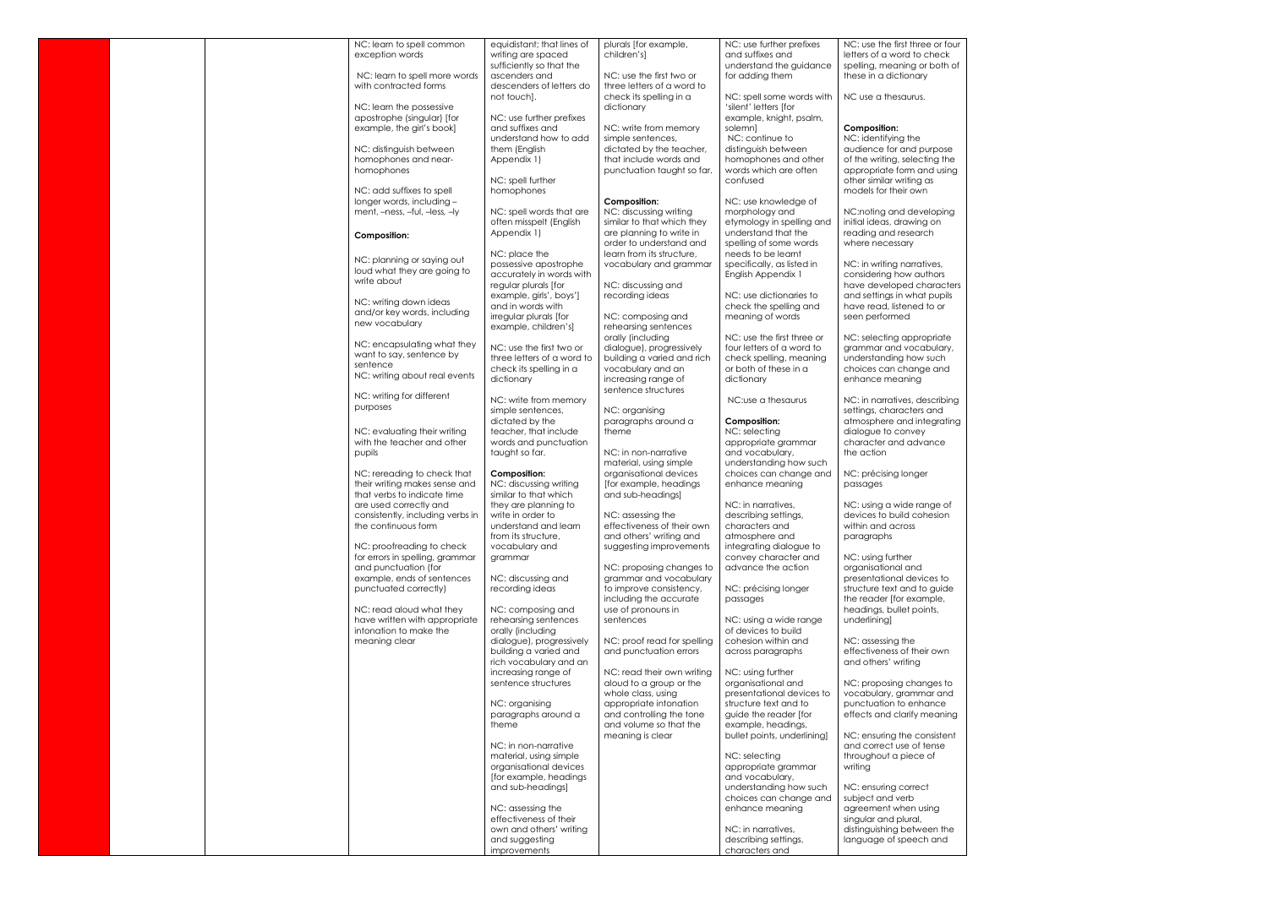|  | NC: learn to spell common                                 |                                                        |                                                        |                                                      | NC: use the first three or four                      |
|--|-----------------------------------------------------------|--------------------------------------------------------|--------------------------------------------------------|------------------------------------------------------|------------------------------------------------------|
|  | exception words                                           | equidistant; that lines of<br>writing are spaced       | plurals [for example,<br>children's]                   | NC: use further prefixes<br>and suffixes and         | letters of a word to check                           |
|  |                                                           | sufficiently so that the                               |                                                        | understand the guidance                              | spelling, meaning or both of                         |
|  | NC: learn to spell more words                             | ascenders and                                          | NC: use the first two or                               | for adding them                                      | these in a dictionary                                |
|  | with contracted forms                                     | descenders of letters do                               | three letters of a word to                             |                                                      |                                                      |
|  |                                                           | not touch].                                            | check its spelling in a                                | NC: spell some words with                            | NC use a thesaurus.                                  |
|  | NC: learn the possessive                                  |                                                        | dictionary                                             | 'silent' letters [for                                |                                                      |
|  | apostrophe (singular) [for                                | NC: use further prefixes                               |                                                        | example, knight, psalm,                              |                                                      |
|  | example, the girl's book]                                 | and suffixes and                                       | NC: write from memory                                  | solemnl                                              | <b>Composition:</b>                                  |
|  |                                                           | understand how to add                                  | simple sentences,                                      | NC: continue to                                      | NC: identifying the                                  |
|  | NC: distinguish between                                   | them (English                                          | dictated by the teacher,                               | distinguish between                                  | audience for and purpose                             |
|  | homophones and near-                                      | Appendix 1)                                            | that include words and                                 | homophones and other                                 | of the writing, selecting the                        |
|  | homophones                                                |                                                        | punctuation taught so far.                             | words which are often                                | appropriate form and using                           |
|  |                                                           | NC: spell further                                      |                                                        | confused                                             | other similar writing as                             |
|  | NC: add suffixes to spell                                 | homophones                                             |                                                        |                                                      | models for their own                                 |
|  | longer words, including -                                 |                                                        | <b>Composition:</b>                                    | NC: use knowledge of                                 |                                                      |
|  | ment, -ness, -ful, -less, -ly                             | NC: spell words that are                               | NC: discussing writing                                 | morphology and                                       | NC:noting and developing                             |
|  |                                                           | often misspelt (English                                | similar to that which they                             | etymology in spelling and                            | initial ideas, drawing on                            |
|  | <b>Composition:</b>                                       | Appendix 1)                                            | are planning to write in                               | understand that the                                  | reading and research                                 |
|  |                                                           |                                                        | order to understand and                                | spelling of some words                               | where necessary                                      |
|  | NC: planning or saying out                                | NC: place the                                          | learn from its structure.                              | needs to be learnt                                   |                                                      |
|  | loud what they are going to                               | possessive apostrophe                                  | vocabulary and grammar                                 | specifically, as listed in                           | NC: in writing narratives,                           |
|  | write about                                               | accurately in words with                               |                                                        | English Appendix 1                                   | considering how authors                              |
|  |                                                           | regular plurals [for                                   | NC: discussing and                                     |                                                      | have developed characters                            |
|  | NC: writing down ideas                                    | example, girls', boys']                                | recording ideas                                        | NC: use dictionaries to                              | and settings in what pupils                          |
|  | and/or key words, including                               | and in words with                                      |                                                        | check the spelling and                               | have read, listened to or                            |
|  | new vocabulary                                            | irregular plurals [for                                 | NC: composing and                                      | meaning of words                                     | seen performed                                       |
|  |                                                           | example, children's]                                   | rehearsing sentences                                   |                                                      |                                                      |
|  | NC: encapsulating what they                               |                                                        | orally (including                                      | NC: use the first three or                           | NC: selecting appropriate                            |
|  | want to say, sentence by                                  | NC: use the first two or<br>three letters of a word to | dialogue), progressively<br>building a varied and rich | four letters of a word to<br>check spelling, meaning | grammar and vocabulary,<br>understanding how such    |
|  | sentence                                                  | check its spelling in a                                | vocabulary and an                                      | or both of these in a                                | choices can change and                               |
|  | NC: writing about real events                             | dictionary                                             | increasing range of                                    | dictionary                                           | enhance meaning                                      |
|  |                                                           |                                                        | sentence structures                                    |                                                      |                                                      |
|  | NC: writing for different                                 | NC: write from memory                                  |                                                        | NC:use a thesaurus                                   | NC: in narratives, describing                        |
|  | purposes                                                  | simple sentences,                                      | NC: organising                                         |                                                      | settings, characters and                             |
|  |                                                           | dictated by the                                        | paragraphs around a                                    | Composition:                                         | atmosphere and integrating                           |
|  | NC: evaluating their writing                              | teacher, that include                                  | theme                                                  | NC: selecting                                        | dialogue to convey                                   |
|  | with the teacher and other                                | words and punctuation                                  |                                                        | appropriate grammar                                  | character and advance                                |
|  | pupils                                                    | taught so far.                                         | NC: in non-narrative                                   | and vocabulary,                                      | the action                                           |
|  |                                                           |                                                        | material, using simple                                 | understanding how such                               |                                                      |
|  | NC: rereading to check that                               | Composition:                                           | organisational devices                                 | choices can change and                               | NC: précising longer                                 |
|  | their writing makes sense and                             | NC: discussing writing                                 | [for example, headings]                                | enhance meaning                                      | passages                                             |
|  | that verbs to indicate time                               | similar to that which                                  | and sub-headings]                                      |                                                      |                                                      |
|  | are used correctly and                                    | they are planning to                                   |                                                        | NC: in narratives,                                   | NC: using a wide range of                            |
|  | consistently, including verbs in                          | write in order to                                      | NC: assessing the                                      | describing settings,                                 | devices to build cohesion                            |
|  | the continuous form                                       | understand and learn                                   | effectiveness of their own                             | characters and                                       | within and across                                    |
|  |                                                           | from its structure,                                    | and others' writing and                                | atmosphere and                                       | paragraphs                                           |
|  | NC: proofreading to check                                 | vocabulary and                                         | suggesting improvements                                | integrating dialogue to                              |                                                      |
|  | for errors in spelling, grammar                           | grammar                                                |                                                        | convey character and                                 | NC: using further                                    |
|  | and punctuation (for                                      |                                                        | NC: proposing changes to                               | advance the action                                   | organisational and                                   |
|  | example, ends of sentences                                | NC: discussing and                                     | grammar and vocabulary                                 |                                                      | presentational devices to                            |
|  | punctuated correctly)                                     | recording ideas                                        | to improve consistency,                                | NC: précising longer                                 | structure text and to guide                          |
|  |                                                           |                                                        | including the accurate                                 | passages                                             | the reader [for example,                             |
|  | NC: read aloud what they<br>have written with appropriate | NC: composing and                                      | use of pronouns in                                     |                                                      | headings, bullet points,                             |
|  | intonation to make the                                    | rehearsing sentences<br>orally (including              | sentences                                              | NC: using a wide range<br>of devices to build        | underlining]                                         |
|  | meaning clear                                             | dialogue), progressively                               | NC: proof read for spelling                            | cohesion within and                                  | NC: assessing the                                    |
|  |                                                           | building a varied and                                  | and punctuation errors                                 | across paragraphs                                    | effectiveness of their own                           |
|  |                                                           | rich vocabulary and an                                 |                                                        |                                                      | and others' writing                                  |
|  |                                                           | increasing range of                                    | NC: read their own writing                             | NC: using further                                    |                                                      |
|  |                                                           | sentence structures                                    | aloud to a group or the                                | organisational and                                   | NC: proposing changes to                             |
|  |                                                           |                                                        | whole class, using                                     | presentational devices to                            | vocabulary, grammar and                              |
|  |                                                           | NC: organising                                         | appropriate intonation                                 | structure text and to                                | punctuation to enhance                               |
|  |                                                           | paragraphs around a                                    | and controlling the tone                               | guide the reader [for                                | effects and clarify meaning                          |
|  |                                                           | theme                                                  | and volume so that the                                 | example, headings,                                   |                                                      |
|  |                                                           |                                                        | meaning is clear                                       | bullet points, underlining]                          | NC: ensuring the consistent                          |
|  |                                                           | NC: in non-narrative                                   |                                                        |                                                      | and correct use of tense                             |
|  |                                                           | material, using simple                                 |                                                        | NC: selecting                                        | throughout a piece of                                |
|  |                                                           | organisational devices                                 |                                                        | appropriate grammar                                  | writing                                              |
|  |                                                           | [for example, headings                                 |                                                        | and vocabulary,                                      |                                                      |
|  |                                                           | and sub-headings]                                      |                                                        | understanding how such                               | NC: ensuring correct                                 |
|  |                                                           |                                                        |                                                        | choices can change and                               | subject and verb                                     |
|  |                                                           | NC: assessing the                                      |                                                        | enhance meaning                                      | agreement when using                                 |
|  |                                                           | effectiveness of their                                 |                                                        | NC: in narratives,                                   | singular and plural,                                 |
|  |                                                           | own and others' writing<br>and suggesting              |                                                        | describing settings,                                 | distinguishing between the<br>language of speech and |
|  |                                                           | improvements                                           |                                                        | characters and                                       |                                                      |
|  |                                                           |                                                        |                                                        |                                                      |                                                      |

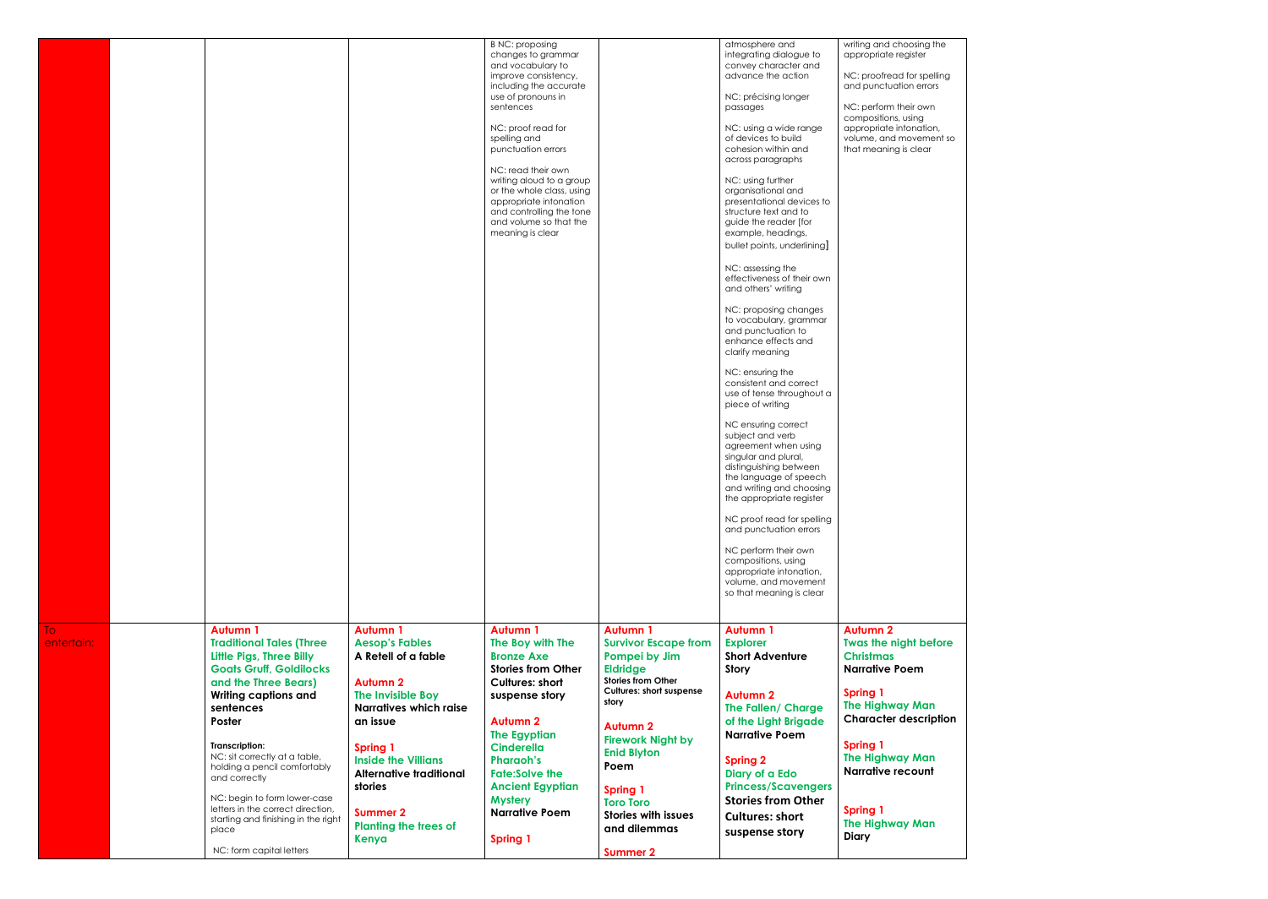|                                                                                                                                                                                                                                                                                                                                                                                                                                                     |                                                                                                                                                                                                                                                                                                                | <b>B NC: proposing</b><br>changes to grammar<br>and vocabulary to<br>improve consistency,<br>including the accurate                                                                                                                                                                                                                    |                                                                                                                                                                                                                                                                                                                                                  | atmosphere and<br>integrating dialogue to<br>convey character and<br>advance the action                                                                                                                                                                                                                                                                                                                                                                                                                                                                                                                                                                                                                                                                                                                                                                                                                                                                                      | writing and choosing the<br>appropriate register<br>NC: proofread for spelling<br>and punctuation errors                                                                                                                                                                                                        |
|-----------------------------------------------------------------------------------------------------------------------------------------------------------------------------------------------------------------------------------------------------------------------------------------------------------------------------------------------------------------------------------------------------------------------------------------------------|----------------------------------------------------------------------------------------------------------------------------------------------------------------------------------------------------------------------------------------------------------------------------------------------------------------|----------------------------------------------------------------------------------------------------------------------------------------------------------------------------------------------------------------------------------------------------------------------------------------------------------------------------------------|--------------------------------------------------------------------------------------------------------------------------------------------------------------------------------------------------------------------------------------------------------------------------------------------------------------------------------------------------|------------------------------------------------------------------------------------------------------------------------------------------------------------------------------------------------------------------------------------------------------------------------------------------------------------------------------------------------------------------------------------------------------------------------------------------------------------------------------------------------------------------------------------------------------------------------------------------------------------------------------------------------------------------------------------------------------------------------------------------------------------------------------------------------------------------------------------------------------------------------------------------------------------------------------------------------------------------------------|-----------------------------------------------------------------------------------------------------------------------------------------------------------------------------------------------------------------------------------------------------------------------------------------------------------------|
|                                                                                                                                                                                                                                                                                                                                                                                                                                                     |                                                                                                                                                                                                                                                                                                                | sentences<br>NC: proof read for<br>spelling and<br>punctuation errors<br>NC: read their own<br>writing aloud to a group<br>or the whole class, using<br>appropriate intonation<br>and controlling the tone<br>and volume so that the<br>meaning is clear                                                                               |                                                                                                                                                                                                                                                                                                                                                  | passages<br>NC: using a wide range<br>of devices to build<br>cohesion within and<br>across paragraphs<br>NC: using further<br>organisational and<br>presentational devices to<br>structure text and to<br>guide the reader [for<br>example, headings,<br>bullet points, underlining]<br>NC: assessing the<br>effectiveness of their own<br>and others' writing<br>NC: proposing changes<br>to vocabulary, grammar<br>and punctuation to<br>enhance effects and<br>clarify meaning<br>NC: ensuring the<br>consistent and correct<br>use of tense throughout a<br>piece of writing<br>NC ensuring correct<br>subject and verb<br>agreement when using<br>singular and plural<br>distinguishing between<br>the language of speech<br>and writing and choosing<br>the appropriate register<br>NC proof read for spelling<br>and punctuation errors<br>NC perform their own<br>compositions, using<br>appropriate intonation,<br>volume, and movement<br>so that meaning is clear | NC: perform their own<br>compositions, using<br>appropriate intonation,<br>volume, and movement so<br>that meaning is clear                                                                                                                                                                                     |
| Autumn 1<br><b>Traditional Tales (Three</b><br><b>Little Pigs, Three Billy</b><br><b>Goats Gruff, Goldilocks</b><br>and the Three Bears)<br><b>Writing captions and</b><br>sentences<br>Poster<br>Transcription:<br>NC: sit correctly at a table,<br>holding a pencil comfortably<br>and correctly<br>NC: begin to form lower-case<br>letters in the correct direction,<br>starting and finishing in the right<br>place<br>NC: form capital letters | <b>Autumn 1</b><br><b>Aesop's Fables</b><br>A Retell of a fable<br><b>Autumn 2</b><br>The Invisible Boy<br><b>Narratives which raise</b><br>an issue<br><b>Spring 1</b><br><b>Inside the Villians</b><br><b>Alternative traditional</b><br>stories<br><b>Summer 2</b><br><b>Planting the trees of</b><br>Kenya | <b>Autumn 1</b><br>The Boy with The<br><b>Bronze Axe</b><br><b>Stories from Other</b><br><b>Cultures: short</b><br>suspense story<br><b>Autumn 2</b><br><b>The Egyptian</b><br><b>Cinderella</b><br><b>Pharaoh's</b><br><b>Fate:Solve the</b><br><b>Ancient Egyptian</b><br><b>Mystery</b><br><b>Narrative Poem</b><br><b>Spring 1</b> | <b>Autumn 1</b><br><b>Survivor Escape from</b><br>Pompei by Jim<br><b>Eldridge</b><br><b>Stories from Other</b><br><b>Cultures: short suspense</b><br>story<br><b>Autumn 2</b><br><b>Firework Night by</b><br><b>Enid Blyton</b><br>Poem<br><b>Spring 1</b><br><b>Toro Toro</b><br><b>Stories with issues</b><br>and dilemmas<br><b>Summer 2</b> | <b>Autumn 1</b><br><b>Explorer</b><br><b>Short Adventure</b><br>Story<br><b>Autumn 2</b><br>The Fallen/ Charge<br>of the Light Brigade<br><b>Narrative Poem</b><br><b>Spring 2</b><br>Diary of a Edo<br><b>Princess/Scavengers</b><br><b>Stories from Other</b><br><b>Cultures: short</b><br>suspense story                                                                                                                                                                                                                                                                                                                                                                                                                                                                                                                                                                                                                                                                  | <b>Autumn 2</b><br><b>Twas the night before</b><br><b>Christmas</b><br><b>Narrative Poem</b><br><b>Spring 1</b><br><b>The Highway Man</b><br><b>Character description</b><br><b>Spring 1</b><br><b>The Highway Man</b><br><b>Narrative recount</b><br><b>Spring 1</b><br><b>The Highway Man</b><br><b>Diary</b> |
|                                                                                                                                                                                                                                                                                                                                                                                                                                                     |                                                                                                                                                                                                                                                                                                                |                                                                                                                                                                                                                                                                                                                                        |                                                                                                                                                                                                                                                                                                                                                  |                                                                                                                                                                                                                                                                                                                                                                                                                                                                                                                                                                                                                                                                                                                                                                                                                                                                                                                                                                              | use of pronouns in<br>NC: précising longer                                                                                                                                                                                                                                                                      |

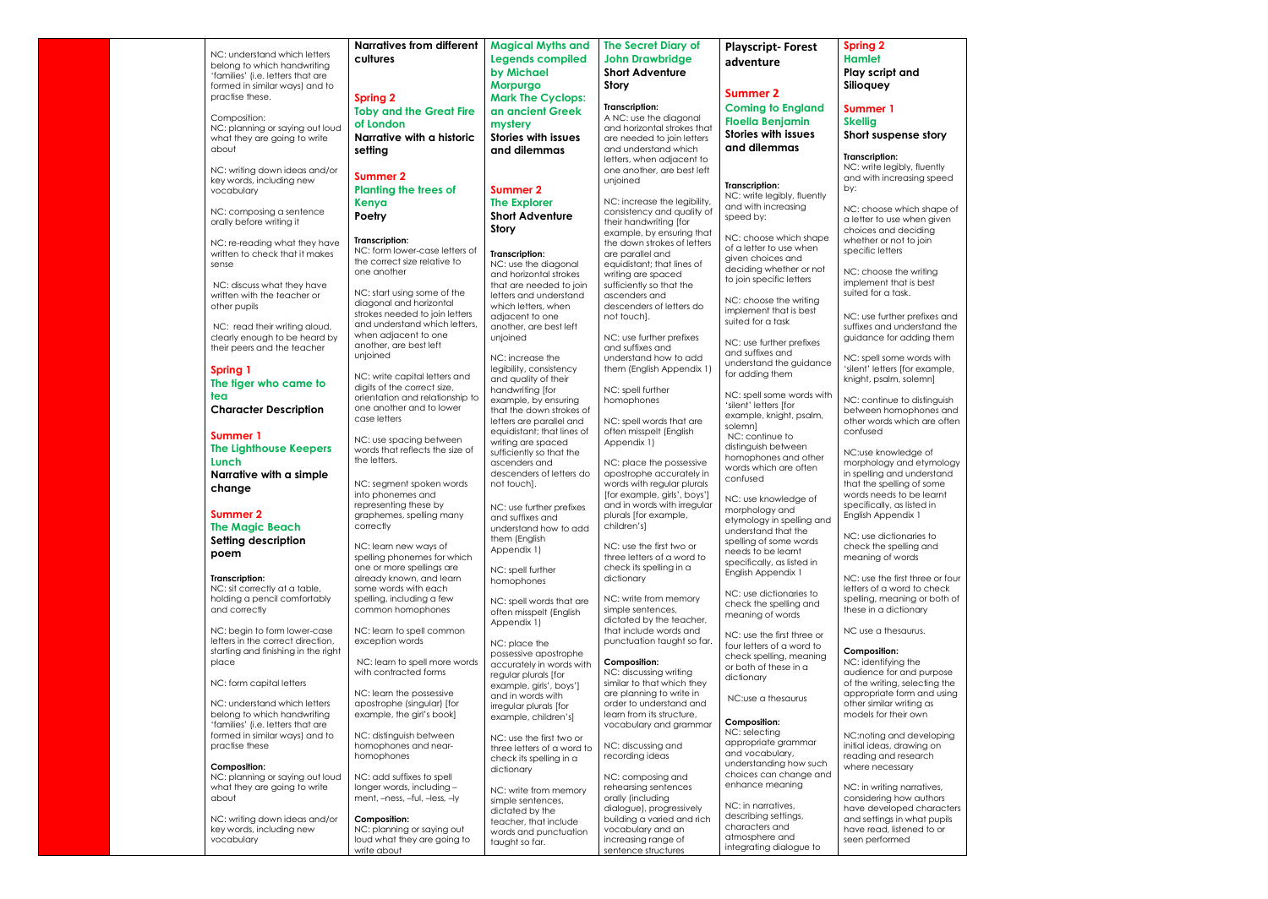|                                     | <b>Narratives from different</b> | <b>Magical Myths and</b>   | <b>The Secret Diary of</b>   | <b>Playscript-Forest</b>    | <b>Spring 2</b>                 |
|-------------------------------------|----------------------------------|----------------------------|------------------------------|-----------------------------|---------------------------------|
| NC: understand which letters        | cultures                         | <b>Legends compiled</b>    | <b>John Drawbridge</b>       |                             | <b>Hamlet</b>                   |
| belong to which handwriting         |                                  |                            |                              | adventure                   |                                 |
| 'families' (i.e. letters that are   |                                  | by Michael                 | <b>Short Adventure</b>       |                             | Play script and                 |
| formed in similar ways) and to      |                                  | Morpurgo                   | <b>Story</b>                 |                             | Silioquey                       |
| practise these.                     | <b>Spring 2</b>                  | <b>Mark The Cyclops:</b>   |                              | <b>Summer 2</b>             |                                 |
|                                     |                                  |                            | <b>Transcription:</b>        | <b>Coming to England</b>    | <b>Summer 1</b>                 |
| Composition:                        | <b>Toby and the Great Fire</b>   | an ancient Greek           | A NC: use the diagonal       |                             |                                 |
| NC: planning or saying out loud     | of London                        | mystery                    | and horizontal strokes that  | <b>Floella Benjamin</b>     | <b>Skellig</b>                  |
| what they are going to write        | Narrative with a historic        | <b>Stories with issues</b> | are needed to join letters   | <b>Stories with issues</b>  | Short suspense story            |
| about                               |                                  |                            | and understand which         | and dilemmas                |                                 |
|                                     | setting                          | and dilemmas               | letters, when adjacent to    |                             | <b>Transcription:</b>           |
|                                     |                                  |                            |                              |                             | NC: write legibly, fluently     |
| NC: writing down ideas and/or       | <b>Summer 2</b>                  |                            | one another, are best left   |                             | and with increasing speed       |
| key words, including new            |                                  | <b>Summer 2</b>            | unjoined                     | Transcription:              | by:                             |
| vocabulary                          | <b>Planting the trees of</b>     |                            |                              | NC: write legibly, fluently |                                 |
|                                     | Kenya                            | <b>The Explorer</b>        | NC: increase the legibility, | and with increasing         | NC: choose which shape of       |
| NC: composing a sentence            | Poetry                           | <b>Short Adventure</b>     | consistency and quality of   | speed by:                   |                                 |
| orally before writing it            |                                  | <b>Story</b>               | their handwriting [for       |                             | a letter to use when given      |
|                                     |                                  |                            | example, by ensuring that    | NC: choose which shape      | choices and deciding            |
| NC: re-reading what they have       | Transcription:                   |                            | the down strokes of letters  | of a letter to use when     | whether or not to join          |
| written to check that it makes      | NC: form lower-case letters of   | <b>Transcription:</b>      | are parallel and             | given choices and           | specific letters                |
| sense                               | the correct size relative to     | NC: use the diagonal       | equidistant; that lines of   | deciding whether or not     |                                 |
|                                     | one another                      | and horizontal strokes     | writing are spaced           |                             | NC: choose the writing          |
| NC: discuss what they have          |                                  | that are needed to join    | sufficiently so that the     | to join specific letters    | implement that is best          |
| written with the teacher or         | NC: start using some of the      | letters and understand     | ascenders and                |                             | suited for a task.              |
| other pupils                        | diagonal and horizontal          | which letters, when        | descenders of letters do     | NC: choose the writing      |                                 |
|                                     | strokes needed to join letters   | adjacent to one            | not touch].                  | implement that is best      | NC: use further prefixes and    |
| NC: read their writing aloud,       | and understand which letters.    | another, are best left     |                              | suited for a task           | suffixes and understand the     |
| clearly enough to be heard by       | when adjacent to one             | unjoined                   | NC: use further prefixes     |                             | guidance for adding them        |
|                                     | another, are best left           |                            | and suffixes and             | NC: use further prefixes    |                                 |
| their peers and the teacher         | unjoined                         |                            |                              | and suffixes and            |                                 |
|                                     |                                  | NC: increase the           | understand how to add        | understand the guidance     | NC: spell some words with       |
| <b>Spring 1</b>                     | NC: write capital letters and    | legibility, consistency    | them (English Appendix 1)    | for adding them             | 'silent' letters [for example,  |
| The tiger who came to               | digits of the correct size,      | and quality of their       |                              |                             | knight, psalm, solemn]          |
| tea                                 |                                  | handwriting [for           | NC: spell further            | NC: spell some words with   |                                 |
|                                     | orientation and relationship to  | example, by ensuring       | homophones                   | 'silent' letters [for       | NC: continue to distinguish     |
| <b>Character Description</b>        | one another and to lower         | that the down strokes of   |                              | example, knight, psalm,     | between homophones and          |
|                                     | case letters                     | letters are parallel and   | NC: spell words that are     | solemn]                     | other words which are often     |
| <b>Summer 1</b>                     |                                  | equidistant; that lines of | often misspelt (English      | NC: continue to             | confused                        |
|                                     | NC: use spacing between          | writing are spaced         | Appendix 1)                  |                             |                                 |
| <b>The Lighthouse Keepers</b>       | words that reflects the size of  | sufficiently so that the   |                              | distinguish between         | NC:use knowledge of             |
| Lunch                               | the letters.                     | ascenders and              | NC: place the possessive     | homophones and other        | morphology and etymology        |
| Narrative with a simple             |                                  | descenders of letters do   | apostrophe accurately in     | words which are often       | in spelling and understand      |
|                                     | NC: segment spoken words         | not touch].                | words with regular plurals   | confused                    | that the spelling of some       |
| change                              | into phonemes and                |                            | [for example, girls', boys'] |                             | words needs to be learnt        |
|                                     | representing these by            |                            | and in words with irregular  | NC: use knowledge of        | specifically, as listed in      |
| <b>Summer 2</b>                     | graphemes, spelling many         | NC: use further prefixes   | plurals (tor example,        | morphology and              | English Appendix 1              |
|                                     | correctly                        | and suffixes and           | children's]                  | etymology in spelling and   |                                 |
| <b>The Magic Beach</b>              |                                  | understand how to add      |                              | understand that the         | NC: use dictionaries to         |
| Setting description                 | NC: learn new ways of            | them (English              | NC: use the first two or     | spelling of some words      | check the spelling and          |
| poem                                | spelling phonemes for which      | Appendix 1)                | three letters of a word to   | needs to be learnt          | meaning of words                |
|                                     |                                  |                            |                              | specifically, as listed in  |                                 |
|                                     | one or more spellings are        | NC: spell further          | check its spelling in a      | English Appendix 1          |                                 |
| Transcription:                      | already known, and learn         | homophones                 | dictionary                   |                             | NC: use the first three or four |
| NC: sit correctly at a table,       | some words with each             |                            |                              | NC: use dictionaries to     | letters of a word to check      |
| holding a pencil comfortably        | spelling, including a few        | NC: spell words that are   | NC: write from memory        | check the spelling and      | spelling, meaning or both of    |
| and correctly                       | common homophones                | often misspelt (English    | simple sentences,            | meaning of words            | these in a dictionary           |
|                                     |                                  | Appendix 1)                | dictated by the teacher,     |                             |                                 |
| NC: begin to form lower-case        | NC: learn to spell common        |                            | that include words and       | NC: use the first three or  | NC use a thesaurus.             |
| letters in the correct direction.   | exception words                  | NC: place the              | punctuation taught so far.   | four letters of a word to   |                                 |
| starting and finishing in the right |                                  | possessive apostrophe      |                              | check spelling, meaning     | <b>Composition:</b>             |
| place                               | NC: learn to spell more words    | accurately in words with   | Composition:                 | or both of these in a       | NC: identifying the             |
|                                     | with contracted forms            | regular plurals [for       | NC: discussing writing       | dictionary                  | audience for and purpose        |
| NC: form capital letters            |                                  | example, girls', boys']    | similar to that which they   |                             | of the writing, selecting the   |
|                                     | NC: learn the possessive         | and in words with          | are planning to write in     | NC:use a thesaurus          | appropriate form and using      |
| NC: understand which letters        | apostrophe (singular) [for       | irregular plurals [for     | order to understand and      |                             | other similar writing as        |
| belong to which handwriting         | example, the girl's book]        | example, children's]       | learn from its structure,    |                             | models for their own            |
| 'families' (i.e. letters that are   |                                  |                            | vocabulary and grammar       | <b>Composition:</b>         |                                 |
| formed in similar ways) and to      | NC: distinguish between          | NC: use the first two or   |                              | NC: selecting               | NC:noting and developing        |
| practise these                      | homophones and near-             | three letters of a word to | NC: discussing and           | appropriate grammar         | initial ideas, drawing on       |
|                                     | homophones                       |                            | recording ideas              | and vocabulary,             | reading and research            |
| <b>Composition:</b>                 |                                  | check its spelling in a    |                              | understanding how such      | where necessary                 |
| NC: planning or saying out loud     | NC: add suffixes to spell        | dictionary                 | NC: composing and            | choices can change and      |                                 |
| what they are going to write        | longer words, including -        |                            | rehearsing sentences         | enhance meaning             | NC: in writing narratives,      |
| about                               | ment, -ness, -ful, -less, -ly    | NC: write from memory      | orally (including            |                             | considering how authors         |
|                                     |                                  | simple sentences,          |                              | NC: in narratives,          |                                 |
|                                     | <b>Composition:</b>              | dictated by the            | dialogue), progressively     | describing settings,        | have developed characters       |
| NC: writing down ideas and/or       |                                  | teacher, that include      | building a varied and rich   | characters and              | and settings in what pupils     |
| key words, including new            | NC: planning or saying out       | words and punctuation      | vocabulary and an            | atmosphere and              | have read, listened to or       |
| vocabulary                          | loud what they are going to      | taught so far.             | increasing range of          | integrating dialogue to     | seen performed                  |
|                                     | write about                      |                            | sentence structures          |                             |                                 |

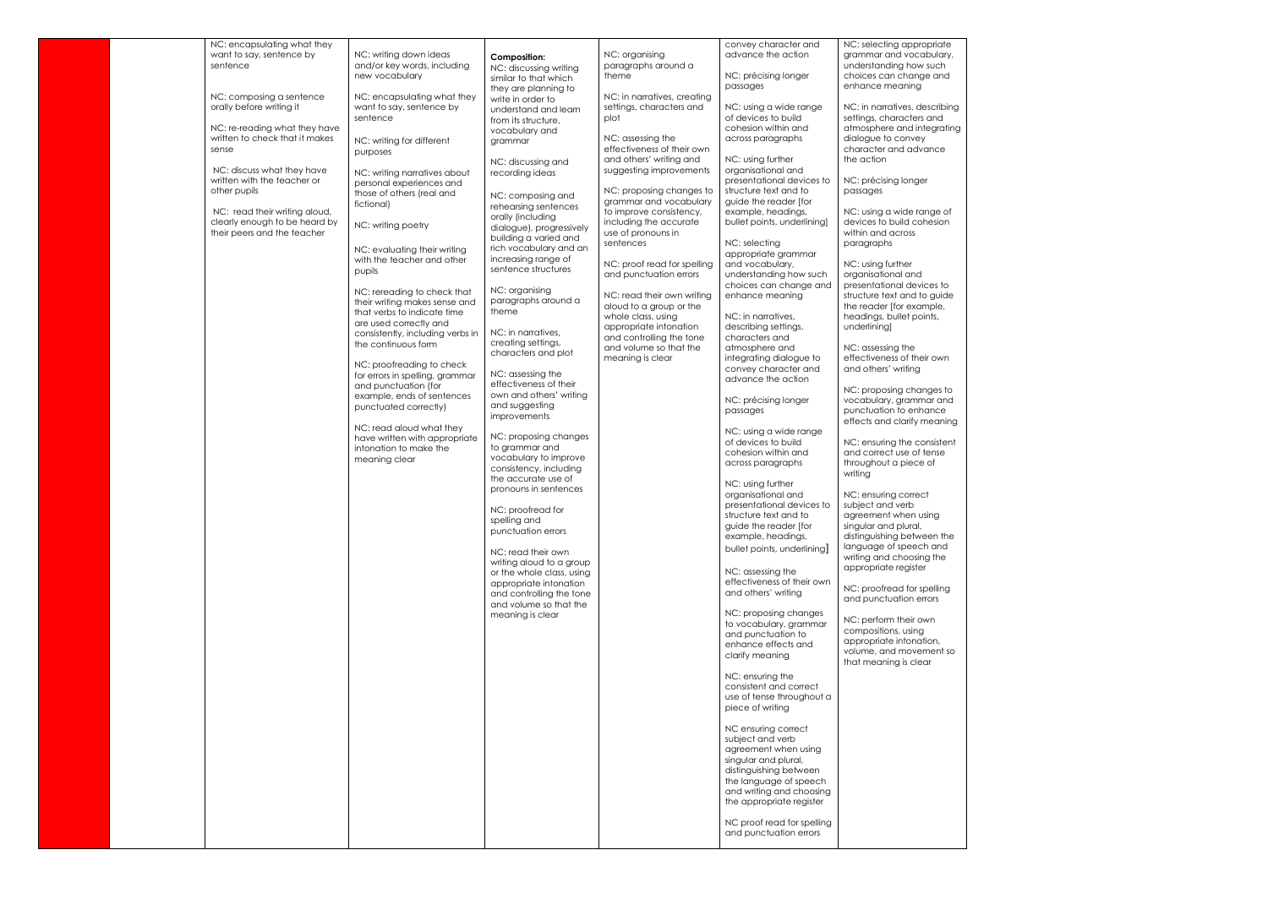| NC: encapsulating what they                                     |                                                              |                                                    |                                                    | convey character and                                 | NC: selecting appropriate                               |
|-----------------------------------------------------------------|--------------------------------------------------------------|----------------------------------------------------|----------------------------------------------------|------------------------------------------------------|---------------------------------------------------------|
| want to say, sentence by<br>sentence                            | NC: writing down ideas<br>and/or key words, including        | <b>Composition:</b>                                | NC: organising<br>paragraphs around a              | advance the action                                   | grammar and vocabulary,<br>understanding how such       |
|                                                                 | new vocabulary                                               | NC: discussing writing                             | theme                                              | NC: précising longer                                 | choices can change and                                  |
|                                                                 |                                                              | similar to that which<br>they are planning to      |                                                    | passages                                             | enhance meaning                                         |
| NC: composing a sentence                                        | NC: encapsulating what they                                  | write in order to                                  | NC: in narratives, creating                        |                                                      |                                                         |
| orally before writing it                                        | want to say, sentence by                                     | understand and learn                               | settings, characters and                           | NC: using a wide range                               | NC: in narratives, describing                           |
|                                                                 | sentence                                                     | from its structure,                                | plot                                               | of devices to build                                  | settings, characters and                                |
| NC: re-reading what they have<br>written to check that it makes |                                                              | vocabulary and                                     | NC: assessing the                                  | cohesion within and<br>across paragraphs             | atmosphere and integrating<br>dialogue to convey        |
| sense                                                           | NC: writing for different                                    | grammar                                            | effectiveness of their own                         |                                                      | character and advance                                   |
|                                                                 | purposes                                                     | NC: discussing and                                 | and others' writing and                            | NC: using further                                    | the action                                              |
| NC: discuss what they have                                      | NC: writing narratives about                                 | recording ideas                                    | suggesting improvements                            | organisational and                                   |                                                         |
| written with the teacher or                                     | personal experiences and                                     |                                                    |                                                    | presentational devices to                            | NC: précising longer                                    |
| other pupils                                                    | those of others (real and                                    | NC: composing and                                  | NC: proposing changes to<br>grammar and vocabulary | structure text and to<br>guide the reader [for       | passages                                                |
| NC: read their writing aloud,                                   | fictional)                                                   | rehearsing sentences                               | to improve consistency,                            | example, headings,                                   | NC: using a wide range of                               |
| clearly enough to be heard by                                   | NC: writing poetry                                           | orally (including                                  | including the accurate                             | bullet points, underlining]                          | devices to build cohesion                               |
| their peers and the teacher                                     |                                                              | dialogue), progressively<br>building a varied and  | use of pronouns in                                 |                                                      | within and across                                       |
|                                                                 | NC: evaluating their writing                                 | rich vocabulary and an                             | sentences                                          | NC: selecting                                        | paragraphs                                              |
|                                                                 | with the teacher and other                                   | increasing range of                                | NC: proof read for spelling                        | appropriate grammar<br>and vocabulary,               | NC: using further                                       |
|                                                                 | pupils                                                       | sentence structures                                | and punctuation errors                             | understanding how such                               | organisational and                                      |
|                                                                 |                                                              |                                                    |                                                    | choices can change and                               | presentational devices to                               |
|                                                                 | NC: rereading to check that<br>their writing makes sense and | NC: organising<br>paragraphs around a              | NC: read their own writing                         | enhance meaning                                      | structure text and to quide                             |
|                                                                 | that verbs to indicate time                                  | theme                                              | aloud to a group or the                            |                                                      | the reader [for example,                                |
|                                                                 | are used correctly and                                       |                                                    | whole class, using<br>appropriate intonation       | NC: in narratives,<br>describing settings,           | headings, bullet points,<br>underlining]                |
|                                                                 | consistently, including verbs in                             | NC: in narratives.                                 | and controlling the tone                           | characters and                                       |                                                         |
|                                                                 | the continuous form                                          | creating settings,                                 | and volume so that the                             | atmosphere and                                       | NC: assessing the                                       |
|                                                                 | NC: proofreading to check                                    | characters and plot                                | meaning is clear                                   | integrating dialogue to                              | effectiveness of their own                              |
|                                                                 | for errors in spelling, grammar                              | NC: assessing the                                  |                                                    | convey character and                                 | and others' writing                                     |
|                                                                 | and punctuation (for                                         | effectiveness of their                             |                                                    | advance the action                                   | NC: proposing changes to                                |
|                                                                 | example, ends of sentences                                   | own and others' writing                            |                                                    | NC: précising longer                                 | vocabulary, grammar and                                 |
|                                                                 | punctuated correctly)                                        | and suggesting                                     |                                                    | passages                                             | punctuation to enhance                                  |
|                                                                 | NC: read aloud what they                                     | improvements                                       |                                                    |                                                      | effects and clarify meaning                             |
|                                                                 | have written with appropriate                                | NC: proposing changes                              |                                                    | NC: using a wide range                               |                                                         |
|                                                                 | intonation to make the                                       | to grammar and                                     |                                                    | of devices to build<br>cohesion within and           | NC: ensuring the consistent<br>and correct use of tense |
|                                                                 | meaning clear                                                | vocabulary to improve                              |                                                    | across paragraphs                                    | throughout a piece of                                   |
|                                                                 |                                                              | consistency, including<br>the accurate use of      |                                                    |                                                      | writing                                                 |
|                                                                 |                                                              | pronouns in sentences                              |                                                    | NC: using further                                    |                                                         |
|                                                                 |                                                              |                                                    |                                                    | organisational and                                   | NC: ensuring correct                                    |
|                                                                 |                                                              | NC: proofread for                                  |                                                    | presentational devices to<br>structure text and to   | subject and verb<br>agreement when using                |
|                                                                 |                                                              | spelling and                                       |                                                    | guide the reader [for                                | singular and plural,                                    |
|                                                                 |                                                              | punctuation errors                                 |                                                    | example, headings,                                   | distinguishing between the                              |
|                                                                 |                                                              | NC: read their own                                 |                                                    | bullet points, underlining                           | language of speech and                                  |
|                                                                 |                                                              | writing aloud to a group                           |                                                    |                                                      | writing and choosing the                                |
|                                                                 |                                                              | or the whole class, using                          |                                                    | NC: assessing the                                    | appropriate register                                    |
|                                                                 |                                                              | appropriate intonation                             |                                                    | effectiveness of their own<br>and others' writing    | NC: proofread for spelling                              |
|                                                                 |                                                              | and controlling the tone<br>and volume so that the |                                                    |                                                      | and punctuation errors                                  |
|                                                                 |                                                              | meaning is clear                                   |                                                    | NC: proposing changes                                |                                                         |
|                                                                 |                                                              |                                                    |                                                    | to vocabulary, grammar                               | NC: perform their own<br>compositions, using            |
|                                                                 |                                                              |                                                    |                                                    | and punctuation to                                   | appropriate intonation,                                 |
|                                                                 |                                                              |                                                    |                                                    | enhance effects and<br>clarify meaning               | volume, and movement so                                 |
|                                                                 |                                                              |                                                    |                                                    |                                                      | that meaning is clear                                   |
|                                                                 |                                                              |                                                    |                                                    | NC: ensuring the                                     |                                                         |
|                                                                 |                                                              |                                                    |                                                    | consistent and correct                               |                                                         |
|                                                                 |                                                              |                                                    |                                                    | use of tense throughout a                            |                                                         |
|                                                                 |                                                              |                                                    |                                                    | piece of writing                                     |                                                         |
|                                                                 |                                                              |                                                    |                                                    | NC ensuring correct                                  |                                                         |
|                                                                 |                                                              |                                                    |                                                    | subject and verb                                     |                                                         |
|                                                                 |                                                              |                                                    |                                                    | agreement when using                                 |                                                         |
|                                                                 |                                                              |                                                    |                                                    | singular and plural,<br>distinguishing between       |                                                         |
|                                                                 |                                                              |                                                    |                                                    | the language of speech                               |                                                         |
|                                                                 |                                                              |                                                    |                                                    | and writing and choosing                             |                                                         |
|                                                                 |                                                              |                                                    |                                                    | the appropriate register                             |                                                         |
|                                                                 |                                                              |                                                    |                                                    |                                                      |                                                         |
|                                                                 |                                                              |                                                    |                                                    | NC proof read for spelling<br>and punctuation errors |                                                         |
|                                                                 |                                                              |                                                    |                                                    |                                                      |                                                         |
|                                                                 |                                                              |                                                    |                                                    |                                                      |                                                         |

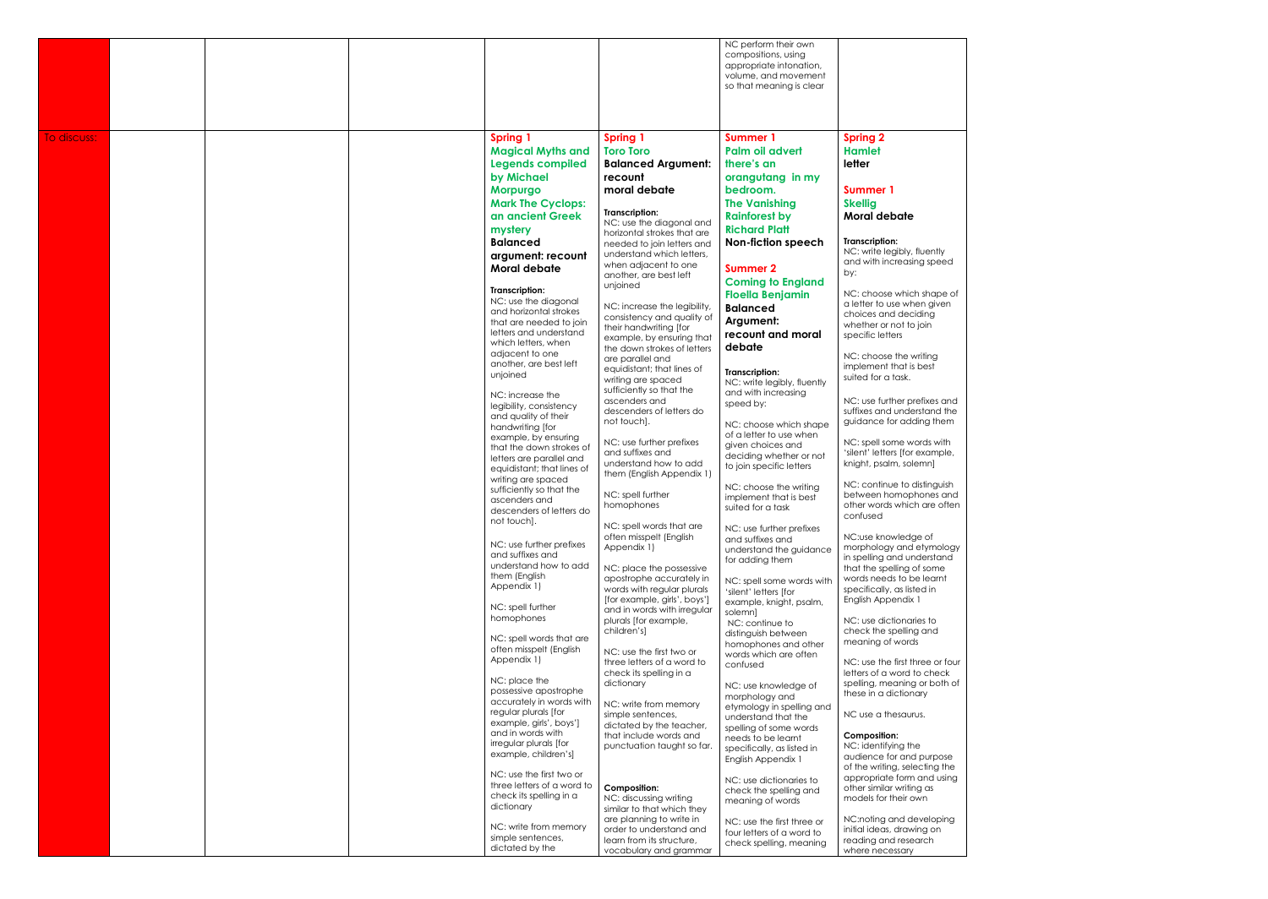|             |  |                                                       |                                                           | NC perform their own<br>compositions, using<br>appropriate intonation,<br>volume, and movement<br>so that meaning is clear |                                                               |
|-------------|--|-------------------------------------------------------|-----------------------------------------------------------|----------------------------------------------------------------------------------------------------------------------------|---------------------------------------------------------------|
| To discuss: |  | <b>Spring 1</b>                                       | <b>Spring 1</b>                                           | <b>Summer 1</b>                                                                                                            | <b>Spring 2</b>                                               |
|             |  | <b>Magical Myths and</b>                              | <b>Toro Toro</b>                                          | Palm oil advert                                                                                                            | <b>Hamlet</b>                                                 |
|             |  | <b>Legends compiled</b>                               | <b>Balanced Argument:</b>                                 | there's an                                                                                                                 | letter                                                        |
|             |  | by Michael                                            | recount                                                   | orangutang in my                                                                                                           |                                                               |
|             |  | <b>Morpurgo</b>                                       | moral debate                                              | bedroom.                                                                                                                   | Summer 1                                                      |
|             |  | <b>Mark The Cyclops:</b>                              |                                                           | <b>The Vanishing</b>                                                                                                       | <b>Skellig</b>                                                |
|             |  | an ancient Greek                                      | Transcription:                                            | <b>Rainforest by</b>                                                                                                       | Moral debate                                                  |
|             |  | mystery                                               | NC: use the diagonal and                                  | <b>Richard Platt</b>                                                                                                       |                                                               |
|             |  | <b>Balanced</b>                                       | horizontal strokes that are<br>needed to join letters and | <b>Non-fiction speech</b>                                                                                                  | <b>Transcription:</b>                                         |
|             |  | argument: recount                                     | understand which letters,                                 |                                                                                                                            | NC: write legibly, fluently                                   |
|             |  | Moral debate                                          | when adjacent to one                                      | <b>Summer 2</b>                                                                                                            | and with increasing speed<br>by:                              |
|             |  |                                                       | another, are best left<br>unjoined                        | <b>Coming to England</b>                                                                                                   |                                                               |
|             |  | Transcription:                                        |                                                           | <b>Floella Benjamin</b>                                                                                                    | NC: choose which shape of                                     |
|             |  | NC: use the diagonal<br>and horizontal strokes        | NC: increase the legibility,                              | <b>Balanced</b>                                                                                                            | a letter to use when given                                    |
|             |  | that are needed to join                               | consistency and quality of                                | Argument:                                                                                                                  | choices and deciding<br>whether or not to join                |
|             |  | letters and understand                                | their handwriting [for<br>example, by ensuring that       | recount and moral                                                                                                          | specific letters                                              |
|             |  | which letters, when<br>adjacent to one                | the down strokes of letters                               | debate                                                                                                                     |                                                               |
|             |  | another, are best left                                | are parallel and                                          |                                                                                                                            | NC: choose the writing<br>implement that is best              |
|             |  | unjoined                                              | equidistant; that lines of<br>writing are spaced          | <b>Transcription:</b>                                                                                                      | suited for a task.                                            |
|             |  | NC: increase the                                      | sufficiently so that the                                  | NC: write legibly, fluently<br>and with increasing                                                                         |                                                               |
|             |  | legibility, consistency                               | ascenders and                                             | speed by:                                                                                                                  | NC: use further prefixes and                                  |
|             |  | and quality of their                                  | descenders of letters do<br>not touch].                   |                                                                                                                            | suffixes and understand the<br>guidance for adding them       |
|             |  | handwriting [for                                      |                                                           | NC: choose which shape<br>of a letter to use when                                                                          |                                                               |
|             |  | example, by ensuring<br>that the down strokes of      | NC: use further prefixes                                  | given choices and                                                                                                          | NC: spell some words with                                     |
|             |  | letters are parallel and                              | and suffixes and<br>understand how to add                 | deciding whether or not                                                                                                    | 'silent' letters [for example,<br>knight, psalm, solemn]      |
|             |  | equidistant; that lines of                            | them (English Appendix 1)                                 | to join specific letters                                                                                                   |                                                               |
|             |  | writing are spaced<br>sufficiently so that the        |                                                           | NC: choose the writing                                                                                                     | NC: continue to distinguish                                   |
|             |  | ascenders and                                         | NC: spell further<br>homophones                           | implement that is best                                                                                                     | between homophones and<br>other words which are often         |
|             |  | descenders of letters do                              |                                                           | suited for a task                                                                                                          | confused                                                      |
|             |  | not touch].                                           | NC: spell words that are                                  | NC: use further prefixes                                                                                                   |                                                               |
|             |  | NC: use further prefixes                              | often misspelt (English<br>Appendix 1)                    | and suffixes and                                                                                                           | NC:use knowledge of<br>morphology and etymology               |
|             |  | and suffixes and                                      |                                                           | understand the guidance<br>for adding them                                                                                 | in spelling and understand                                    |
|             |  | understand how to add<br>them (English                | NC: place the possessive                                  |                                                                                                                            | that the spelling of some                                     |
|             |  | Appendix 1)                                           | apostrophe accurately in<br>words with regular plurals    | NC: spell some words with                                                                                                  | words needs to be learnt<br>specifically, as listed in        |
|             |  |                                                       | [for example, girls', boys']                              | 'silent' letters [for<br>example, knight, psalm,                                                                           | English Appendix 1                                            |
|             |  | NC: spell further                                     | and in words with irregular                               | solemn]                                                                                                                    |                                                               |
|             |  | homophones                                            | plurals [for example,<br>children's]                      | NC: continue to                                                                                                            | NC: use dictionaries to<br>check the spelling and             |
|             |  | NC: spell words that are                              |                                                           | distinguish between<br>homophones and other                                                                                | meaning of words                                              |
|             |  | often misspelt (English                               | NC: use the first two or                                  | words which are often                                                                                                      |                                                               |
|             |  | Appendix 1)                                           | three letters of a word to<br>check its spelling in a     | confused                                                                                                                   | NC: use the first three or four<br>letters of a word to check |
|             |  | NC: place the                                         | dictionary                                                | NC: use knowledge of                                                                                                       | spelling, meaning or both of                                  |
|             |  | possessive apostrophe                                 |                                                           | morphology and                                                                                                             | these in a dictionary                                         |
|             |  | accurately in words with<br>regular plurals [for      | NC: write from memory<br>simple sentences,                | etymology in spelling and                                                                                                  | NC use a thesaurus.                                           |
|             |  | example, girls', boys']                               | dictated by the teacher,                                  | understand that the<br>spelling of some words                                                                              |                                                               |
|             |  | and in words with                                     | that include words and                                    | needs to be learnt                                                                                                         | <b>Composition:</b>                                           |
|             |  | irregular plurals [for<br>example, children's]        | punctuation taught so far.                                | specifically, as listed in                                                                                                 | NC: identifying the                                           |
|             |  |                                                       |                                                           | English Appendix 1                                                                                                         | audience for and purpose<br>of the writing, selecting the     |
|             |  | NC: use the first two or                              |                                                           | NC: use dictionaries to                                                                                                    | appropriate form and using                                    |
|             |  | three letters of a word to<br>check its spelling in a | <b>Composition:</b>                                       | check the spelling and                                                                                                     | other similar writing as                                      |
|             |  | dictionary                                            | NC: discussing writing<br>similar to that which they      | meaning of words                                                                                                           | models for their own                                          |
|             |  |                                                       | are planning to write in                                  | NC: use the first three or                                                                                                 | NC:noting and developing                                      |
|             |  | NC: write from memory<br>simple sentences,            | order to understand and                                   | four letters of a word to                                                                                                  | initial ideas, drawing on                                     |
|             |  | dictated by the                                       | learn from its structure,<br>vocabulary and grammar       | check spelling, meaning                                                                                                    | reading and research<br>where necessary                       |
|             |  |                                                       |                                                           |                                                                                                                            |                                                               |

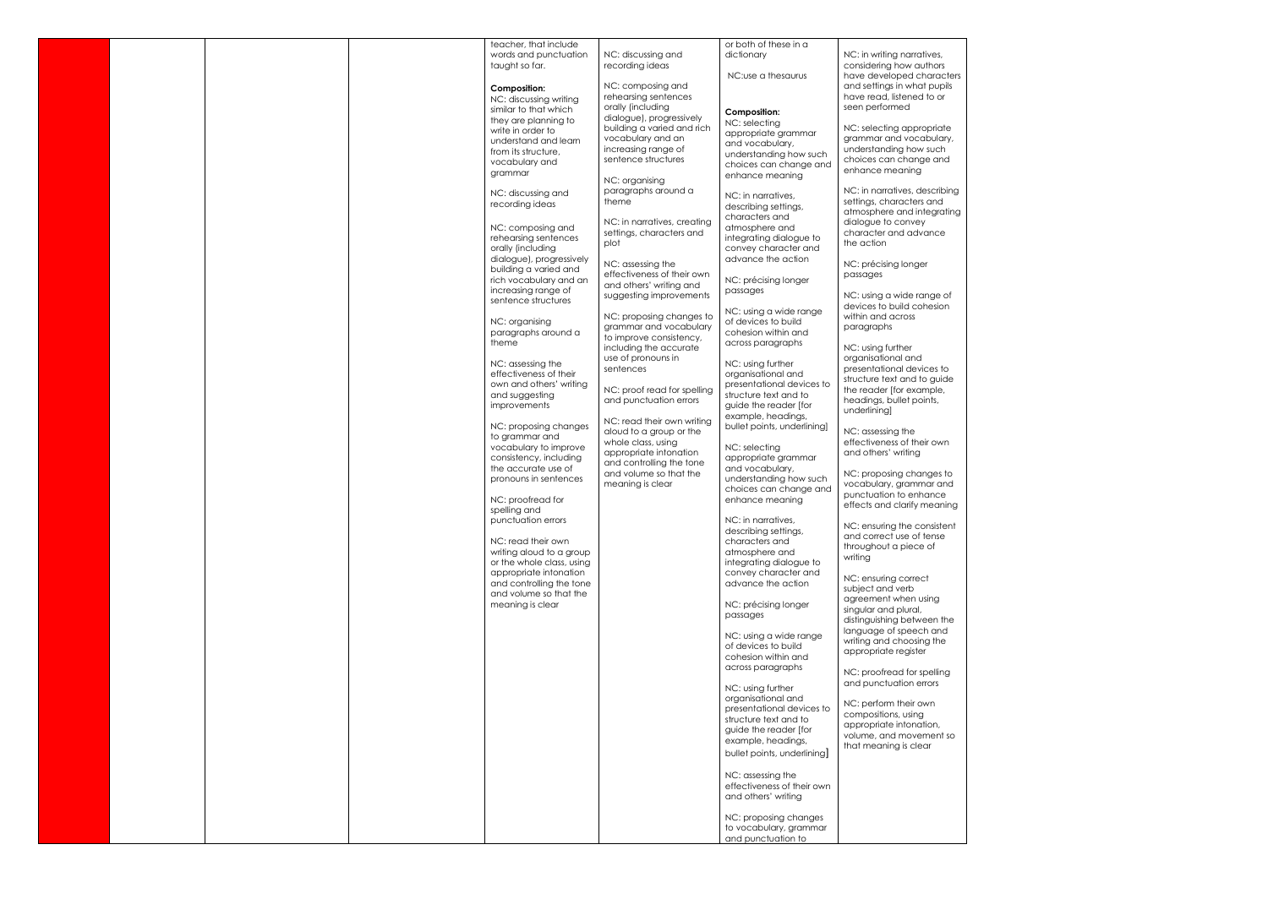|  |  | teacher, that include                                 |                                                         | or both of these in a                       |                                                         |
|--|--|-------------------------------------------------------|---------------------------------------------------------|---------------------------------------------|---------------------------------------------------------|
|  |  | words and punctuation                                 | NC: discussing and                                      | dictionary                                  | NC: in writing narratives,                              |
|  |  | taught so far.                                        | recording ideas                                         | NC:use a thesaurus                          | considering how authors<br>have developed characters    |
|  |  | <b>Composition:</b>                                   | NC: composing and                                       |                                             | and settings in what pupils                             |
|  |  | NC: discussing writing                                | rehearsing sentences                                    |                                             | have read, listened to or                               |
|  |  | similar to that which                                 | orally (including                                       | <b>Composition:</b>                         | seen performed                                          |
|  |  | they are planning to                                  | dialogue), progressively<br>building a varied and rich  | NC: selecting                               | NC: selecting appropriate                               |
|  |  | write in order to<br>understand and learn             | vocabulary and an                                       | appropriate grammar                         | grammar and vocabulary,                                 |
|  |  | from its structure,                                   | increasing range of                                     | and vocabulary,<br>understanding how such   | understanding how such                                  |
|  |  | vocabulary and                                        | sentence structures                                     | choices can change and                      | choices can change and                                  |
|  |  | grammar                                               | NC: organising                                          | enhance meaning                             | enhance meaning                                         |
|  |  | NC: discussing and                                    | paragraphs around a                                     |                                             | NC: in narratives, describing                           |
|  |  | recording ideas                                       | theme                                                   | NC: in narratives,<br>describing settings,  | settings, characters and                                |
|  |  |                                                       |                                                         | characters and                              | atmosphere and integrating                              |
|  |  | NC: composing and                                     | NC: in narratives, creating<br>settings, characters and | atmosphere and                              | dialogue to convey<br>character and advance             |
|  |  | rehearsing sentences                                  | plot                                                    | integrating dialogue to                     | the action                                              |
|  |  | orally (including<br>dialogue), progressively         |                                                         | convey character and<br>advance the action  |                                                         |
|  |  | building a varied and                                 | NC: assessing the                                       |                                             | NC: précising longer                                    |
|  |  | rich vocabulary and an                                | effectiveness of their own<br>and others' writing and   | NC: précising longer                        | passages                                                |
|  |  | increasing range of                                   | suggesting improvements                                 | passages                                    | NC: using a wide range of                               |
|  |  | sentence structures                                   |                                                         | NC: using a wide range                      | devices to build cohesion                               |
|  |  | NC: organising                                        | NC: proposing changes to                                | of devices to build                         | within and across                                       |
|  |  | paragraphs around a                                   | grammar and vocabulary<br>to improve consistency,       | cohesion within and                         | paragraphs                                              |
|  |  | theme                                                 | including the accurate                                  | across paragraphs                           | NC: using further                                       |
|  |  | NC: assessing the                                     | use of pronouns in                                      | NC: using further                           | organisational and                                      |
|  |  | effectiveness of their                                | sentences                                               | organisational and                          | presentational devices to                               |
|  |  | own and others' writing                               | NC: proof read for spelling                             | presentational devices to                   | structure text and to guide<br>the reader [for example, |
|  |  | and suggesting                                        | and punctuation errors                                  | structure text and to                       | headings, bullet points,                                |
|  |  | improvements                                          |                                                         | guide the reader [for<br>example, headings, | underlining                                             |
|  |  | NC: proposing changes                                 | NC: read their own writing                              | bullet points, underlining]                 |                                                         |
|  |  | to grammar and                                        | aloud to a group or the<br>whole class, using           |                                             | NC: assessing the<br>effectiveness of their own         |
|  |  | vocabulary to improve                                 | appropriate intonation                                  | NC: selecting                               | and others' writing                                     |
|  |  | consistency, including<br>the accurate use of         | and controlling the tone                                | appropriate grammar<br>and vocabulary.      |                                                         |
|  |  | pronouns in sentences                                 | and volume so that the<br>meaning is clear              | understanding how such                      | NC: proposing changes to<br>vocabulary, grammar and     |
|  |  |                                                       |                                                         | choices can change and                      | punctuation to enhance                                  |
|  |  | NC: proofread for<br>spelling and                     |                                                         | enhance meaning                             | effects and clarify meaning                             |
|  |  | punctuation errors                                    |                                                         | NC: in narratives,                          |                                                         |
|  |  |                                                       |                                                         | describing settings,                        | NC: ensuring the consistent<br>and correct use of tense |
|  |  | NC: read their own                                    |                                                         | characters and<br>atmosphere and            | throughout a piece of                                   |
|  |  | writing aloud to a group<br>or the whole class, using |                                                         | integrating dialogue to                     | writing                                                 |
|  |  | appropriate intonation                                |                                                         | convey character and                        | NC: ensuring correct                                    |
|  |  | and controlling the tone                              |                                                         | advance the action                          | subject and verb                                        |
|  |  | and volume so that the<br>meaning is clear            |                                                         | NC: précising longer                        | agreement when using                                    |
|  |  |                                                       |                                                         | passages                                    | singular and plural,                                    |
|  |  |                                                       |                                                         |                                             | distinguishing between the<br>language of speech and    |
|  |  |                                                       |                                                         | NC: using a wide range                      | writing and choosing the                                |
|  |  |                                                       |                                                         | of devices to build<br>cohesion within and  | appropriate register                                    |
|  |  |                                                       |                                                         | across paragraphs                           | NC: proofread for spelling                              |
|  |  |                                                       |                                                         |                                             | and punctuation errors                                  |
|  |  |                                                       |                                                         | NC: using further<br>organisational and     |                                                         |
|  |  |                                                       |                                                         | presentational devices to                   | NC: perform their own                                   |
|  |  |                                                       |                                                         | structure text and to                       | compositions, using<br>appropriate intonation,          |
|  |  |                                                       |                                                         | guide the reader [for<br>example, headings, | volume, and movement so                                 |
|  |  |                                                       |                                                         | bullet points, underlining]                 | that meaning is clear                                   |
|  |  |                                                       |                                                         |                                             |                                                         |
|  |  |                                                       |                                                         | NC: assessing the                           |                                                         |
|  |  |                                                       |                                                         | effectiveness of their own                  |                                                         |
|  |  |                                                       |                                                         | and others' writing                         |                                                         |
|  |  |                                                       |                                                         | NC: proposing changes                       |                                                         |
|  |  |                                                       |                                                         | to vocabulary, grammar                      |                                                         |
|  |  |                                                       |                                                         | and punctuation to                          |                                                         |

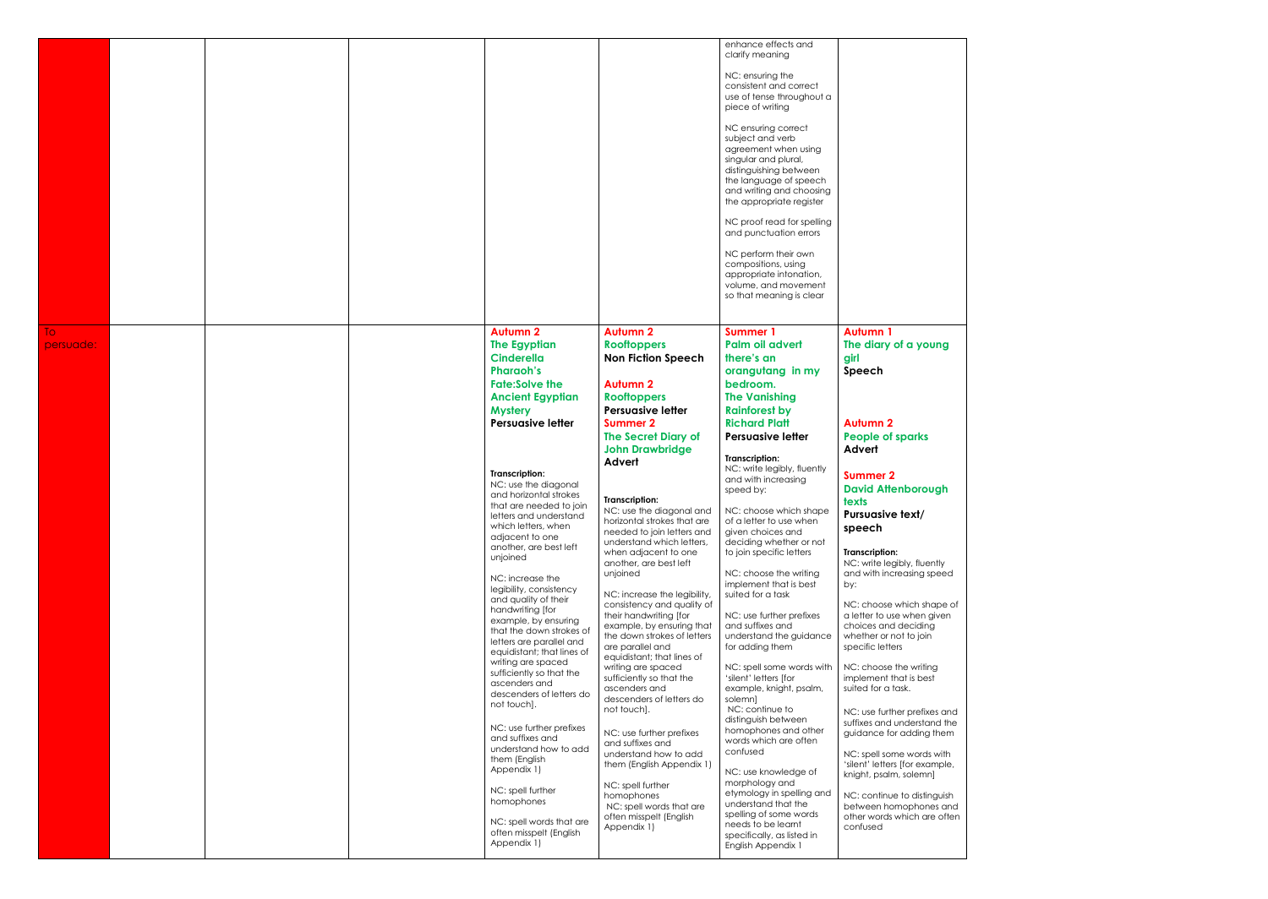|           |  |                                           |                                                          | enhance effects and<br>clarify meaning             |                                                |
|-----------|--|-------------------------------------------|----------------------------------------------------------|----------------------------------------------------|------------------------------------------------|
|           |  |                                           |                                                          |                                                    |                                                |
|           |  |                                           |                                                          | NC: ensuring the                                   |                                                |
|           |  |                                           |                                                          | consistent and correct                             |                                                |
|           |  |                                           |                                                          | use of tense throughout a                          |                                                |
|           |  |                                           |                                                          | piece of writing                                   |                                                |
|           |  |                                           |                                                          | NC ensuring correct                                |                                                |
|           |  |                                           |                                                          | subject and verb                                   |                                                |
|           |  |                                           |                                                          | agreement when using                               |                                                |
|           |  |                                           |                                                          | singular and plural,                               |                                                |
|           |  |                                           |                                                          | distinguishing between                             |                                                |
|           |  |                                           |                                                          | the language of speech                             |                                                |
|           |  |                                           |                                                          | and writing and choosing                           |                                                |
|           |  |                                           |                                                          | the appropriate register                           |                                                |
|           |  |                                           |                                                          |                                                    |                                                |
|           |  |                                           |                                                          | NC proof read for spelling                         |                                                |
|           |  |                                           |                                                          | and punctuation errors                             |                                                |
|           |  |                                           |                                                          |                                                    |                                                |
|           |  |                                           |                                                          | NC perform their own                               |                                                |
|           |  |                                           |                                                          | compositions, using                                |                                                |
|           |  |                                           |                                                          | appropriate intonation,<br>volume, and movement    |                                                |
|           |  |                                           |                                                          | so that meaning is clear                           |                                                |
|           |  |                                           |                                                          |                                                    |                                                |
|           |  |                                           |                                                          |                                                    |                                                |
| To:       |  | <b>Autumn 2</b>                           | <b>Autumn 2</b>                                          | <b>Summer 1</b>                                    | <b>Autumn 1</b>                                |
|           |  | <b>The Egyptian</b>                       | <b>Rooftoppers</b>                                       | Palm oil advert                                    | The diary of a young                           |
| persuade: |  |                                           |                                                          |                                                    |                                                |
|           |  | <b>Cinderella</b>                         | <b>Non Fiction Speech</b>                                | there's an                                         | girl                                           |
|           |  | <b>Pharaoh's</b>                          |                                                          | orangutang in my                                   | Speech                                         |
|           |  | <b>Fate:Solve the</b>                     | <b>Autumn 2</b>                                          | bedroom.                                           |                                                |
|           |  | <b>Ancient Egyptian</b>                   | <b>Rooftoppers</b>                                       | <b>The Vanishing</b>                               |                                                |
|           |  | <b>Mystery</b>                            | <b>Persuasive letter</b>                                 | <b>Rainforest by</b>                               |                                                |
|           |  | <b>Persuasive letter</b>                  | <b>Summer 2</b>                                          | <b>Richard Platt</b>                               | <b>Autumn 2</b>                                |
|           |  |                                           |                                                          |                                                    |                                                |
|           |  |                                           | <b>The Secret Diary of</b>                               | <b>Persuasive letter</b>                           | <b>People of sparks</b>                        |
|           |  |                                           | <b>John Drawbridge</b>                                   |                                                    | Advert                                         |
|           |  |                                           | Advert                                                   | <b>Transcription:</b>                              |                                                |
|           |  | <b>Transcription:</b>                     |                                                          | NC: write legibly, fluently<br>and with increasing | <b>Summer 2</b>                                |
|           |  | NC: use the diagonal                      |                                                          | speed by:                                          | <b>David Attenborough</b>                      |
|           |  | and horizontal strokes                    | Transcription:                                           |                                                    | texts                                          |
|           |  | that are needed to join                   | NC: use the diagonal and   NC: choose which shape        |                                                    |                                                |
|           |  | letters and understand                    | horizontal strokes that are                              | of a letter to use when                            | Pursuasive text/                               |
|           |  | which letters, when                       | needed to join letters and                               | given choices and                                  | speech                                         |
|           |  | adjacent to one                           | understand which letters,                                | deciding whether or not                            |                                                |
|           |  | another, are best left<br>unjoined        | when adjacent to one                                     | to join specific letters                           | <b>Transcription:</b>                          |
|           |  |                                           | another, are best left                                   |                                                    | NC: write legibly, fluently                    |
|           |  | NC: increase the                          | unjoined                                                 | NC: choose the writing                             | and with increasing speed                      |
|           |  | legibility, consistency                   |                                                          | implement that is best                             | by:                                            |
|           |  | and quality of their                      | NC: increase the legibility,                             | suited for a task                                  |                                                |
|           |  | handwriting [for                          | consistency and quality of                               |                                                    | NC: choose which shape of                      |
|           |  | example, by ensuring                      | their handwriting [for                                   | NC: use further prefixes                           | a letter to use when given                     |
|           |  | that the down strokes of                  | example, by ensuring that<br>the down strokes of letters | and suffixes and<br>understand the guidance        | choices and deciding<br>whether or not to join |
|           |  | letters are parallel and                  | are parallel and                                         | for adding them                                    | specific letters                               |
|           |  | equidistant; that lines of                | equidistant; that lines of                               |                                                    |                                                |
|           |  | writing are spaced                        | writing are spaced                                       | NC: spell some words with                          | NC: choose the writing                         |
|           |  | sufficiently so that the                  | sufficiently so that the                                 | 'silent' letters [for                              | implement that is best                         |
|           |  | ascenders and                             | ascenders and                                            | example, knight, psalm,                            | suited for a task.                             |
|           |  | descenders of letters do                  | descenders of letters do                                 | solemn]                                            |                                                |
|           |  | not touch].                               | not touch].                                              | NC: continue to                                    | NC: use further prefixes and                   |
|           |  |                                           |                                                          | distinguish between                                | suffixes and understand the                    |
|           |  | NC: use further prefixes                  | NC: use further prefixes                                 | homophones and other                               | guidance for adding them                       |
|           |  | and suffixes and<br>understand how to add | and suffixes and                                         | words which are often                              |                                                |
|           |  | them (English                             | understand how to add                                    | confused                                           | NC: spell some words with                      |
|           |  | Appendix 1)                               | them (English Appendix 1)                                |                                                    | 'silent' letters [for example,                 |
|           |  |                                           |                                                          | NC: use knowledge of                               | knight, psalm, solemn]                         |
|           |  | NC: spell further                         | NC: spell further                                        | morphology and                                     |                                                |
|           |  | homophones                                | homophones                                               | etymology in spelling and<br>understand that the   | NC: continue to distinguish                    |
|           |  |                                           | NC: spell words that are                                 | spelling of some words                             | between homophones and                         |
|           |  | NC: spell words that are                  | often misspelt (English                                  | needs to be learnt                                 | other words which are often                    |
|           |  | often misspelt (English                   | Appendix 1)                                              | specifically, as listed in                         | confused                                       |
|           |  | Appendix 1)                               |                                                          | English Appendix 1                                 |                                                |
|           |  |                                           |                                                          |                                                    |                                                |
|           |  |                                           |                                                          |                                                    |                                                |

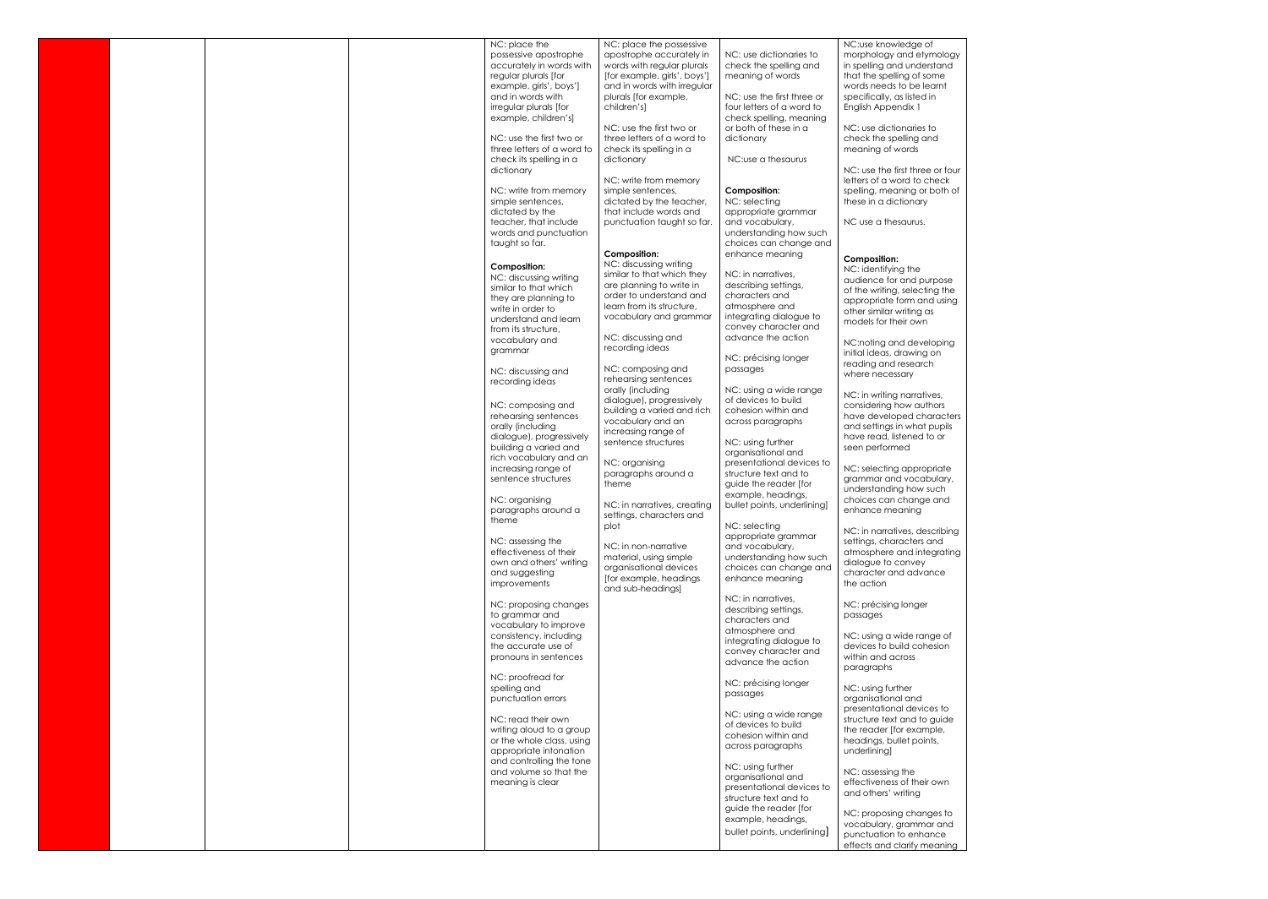|  |  | NC: place the<br>possessive apostrophe<br>accurately in words with<br>regular plurals [for<br>example, girls', boys']<br>and in words with<br>irregular plurals [for                                                                       | NC: place the possessive<br>apostrophe accurately in<br>words with regular plurals<br>[for example, girls', boys']<br>and in words with irregular<br>plurals [for example,<br>children's]                                            | NC: use dictionaries to<br>check the spelling and<br>meaning of words<br>NC: use the first three or<br>four letters of a word to                                                                                                                                         | NC:use knowledge of<br>morphology and etymology<br>in spelling and understand<br>that the spelling of some<br>words needs to be learnt<br>specifically, as listed in                                                                                                                                              |
|--|--|--------------------------------------------------------------------------------------------------------------------------------------------------------------------------------------------------------------------------------------------|--------------------------------------------------------------------------------------------------------------------------------------------------------------------------------------------------------------------------------------|--------------------------------------------------------------------------------------------------------------------------------------------------------------------------------------------------------------------------------------------------------------------------|-------------------------------------------------------------------------------------------------------------------------------------------------------------------------------------------------------------------------------------------------------------------------------------------------------------------|
|  |  | example, children's]<br>NC: use the first two or<br>three letters of a word to<br>check its spelling in a<br>dictionary<br>NC: write from memory<br>simple sentences,<br>dictated by the<br>teacher, that include<br>words and punctuation | NC: use the first two or<br>three letters of a word to<br>check its spelling in a<br>dictionary<br>NC: write from memory<br>simple sentences,<br>dictated by the teacher,<br>that include words and<br>punctuation taught so far.    | check spelling, meaning<br>or both of these in a<br>dictionary<br>NC:use a thesaurus<br><b>Composition:</b><br>NC: selecting<br>appropriate grammar<br>and vocabulary,<br>understanding how such                                                                         | English Appendix 1<br>NC: use dictionaries to<br>check the spelling and<br>meaning of words<br>NC: use the first three or four<br>letters of a word to check<br>spelling, meaning or both of<br>these in a dictionary<br>NC use a thesaurus.                                                                      |
|  |  | taught so far.<br><b>Composition:</b><br>NC: discussing writing<br>similar to that which<br>they are planning to<br>write in order to<br>understand and learn<br>from its structure,<br>vocabulary and<br>grammar                          | Composition:<br>NC: discussing writing<br>similar to that which they<br>are planning to write in<br>order to understand and<br>learn from its structure,<br>vocabulary and grammar<br>NC: discussing and<br>recording ideas          | choices can change and<br>enhance meaning<br>NC: in narratives,<br>describing settings,<br>characters and<br>atmosphere and<br>integrating dialogue to<br>convey character and<br>advance the action                                                                     | <b>Composition:</b><br>NC: identifying the<br>audience for and purpose<br>of the writing, selecting the<br>appropriate form and using<br>other similar writing as<br>models for their own<br>NC:noting and developing<br>initial ideas, drawing on                                                                |
|  |  | NC: discussing and<br>recording ideas<br>NC: composing and<br>rehearsing sentences<br>orally (including<br>dialogue), progressively<br>building a varied and<br>rich vocabulary and an<br>increasing range of<br>sentence structures       | NC: composing and<br>rehearsing sentences<br>orally (including<br>dialogue), progressively<br>building a varied and rich<br>vocabulary and an<br>increasing range of<br>sentence structures<br>NC: organising<br>paragraphs around a | NC: précising longer<br>passages<br>NC: using a wide range<br>of devices to build<br>cohesion within and<br>across paragraphs<br>NC: using further<br>organisational and<br>presentational devices to<br>structure text and to                                           | reading and research<br>where necessary<br>NC: in writing narratives,<br>considering how authors<br>have developed characters<br>and settings in what pupils<br>have read, listened to or<br>seen performed<br>NC: selecting appropriate<br>grammar and vocabulary,                                               |
|  |  | NC: organising<br>paragraphs around a<br>theme<br>NC: assessing the<br>effectiveness of their<br>own and others' writing<br>and suggesting<br>improvements                                                                                 | theme<br>NC: in narratives, creating<br>settings, characters and<br>plot<br>NC: in non-narrative<br>material, using simple<br>organisational devices<br>[for example, headings]<br>and sub-headings]                                 | guide the reader [for<br>example, headings,<br>bullet points, underlining]<br>NC: selecting<br>appropriate grammar<br>and vocabulary,<br>understanding how such<br>choices can change and<br>enhance meanina<br>NC: in narratives,                                       | understanding how such<br>choices can change and<br>enhance meaning<br>NC: in narratives, describing<br>settings, characters and<br>atmosphere and integrating<br>dialogue to convey<br>character and advance<br>the action                                                                                       |
|  |  | NC: proposing changes<br>to grammar and<br>vocabulary to improve<br>consistency, including<br>the accurate use of<br>pronouns in sentences<br>NC: proofread for<br>spelling and                                                            |                                                                                                                                                                                                                                      | describing settings,<br>characters and<br>atmosphere and<br>integrating dialogue to<br>convey character and<br>advance the action<br>NC: précising longer<br>passages                                                                                                    | NC: précising longer<br>passages<br>NC: using a wide range of<br>devices to build cohesion<br>within and across<br>paragraphs<br>NC: using further                                                                                                                                                                |
|  |  | punctuation errors<br>NC: read their own<br>writing aloud to a group<br>or the whole class, using<br>appropriate intonation<br>and controlling the tone<br>and volume so that the<br>meaning is clear                                      |                                                                                                                                                                                                                                      | NC: using a wide range<br>of devices to build<br>cohesion within and<br>across paragraphs<br>NC: using further<br>organisational and<br>presentational devices to<br>structure text and to<br>guide the reader [for<br>example, headings,<br>bullet points, underlining] | organisational and<br>presentational devices to<br>structure text and to guide<br>the reader [for example,<br>headings, bullet points,<br>underlining]<br>NC: assessing the<br>effectiveness of their own<br>and others' writing<br>NC: proposing changes to<br>vocabulary, grammar and<br>punctuation to enhance |